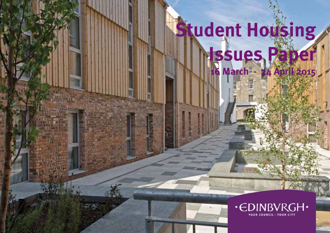# **Student Housing Issues Paper 16 March - 24 April 2015**

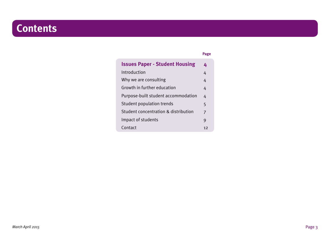## **Contents**

**Page**

| <b>Issues Paper - Student Housing</b> |    |
|---------------------------------------|----|
| Introduction                          | 4  |
| Why we are consulting                 | 4  |
| Growth in further education           | 4  |
| Purpose-built student accommodation   | 4  |
| <b>Student population trends</b>      | 5  |
| Student concentration & distribution  | 7  |
| Impact of students                    | 9  |
| Contact                               | 12 |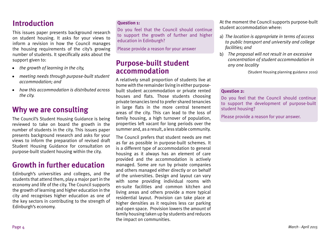## **Introduction**

This issues paper presents background research on student housing. It asks for your views to inform a revision in how the Council manages the housing requirements of the city's growing number of students. It specifically asks about the support given to:

- *the growth of learning in the city,* •
- *meeting needs through purpose-built student accommodation; and* •
- *how this accommodation is distributed across the city.* •

## **Why we are consulting**

The Council's Student Housing Guidance is being reviewed to take on board the growth in the number of students in the city. This issues paper presents background research and asks for your views to inform the preparation of revised draft Student Housing Guidance for consultation on purpose-built student housing within the city.

## **Growth in further education**

Edinburgh's universities and colleges, and the students that attend them, play a major part in the economy and life of the city. The Council supports the growth of learning and higher education in the city and recognises higher education as one of the key sectors in contributing to the strength of Edinburgh's economy.

#### **Question 1:**

Do you feel that the Council should continue to support the growth of further and higher education in Edinburgh?

Please provide a reason for your answer

## **Purpose-built student accommodation**

A relatively small proportion of students live at home with the remainder living in either purposebuilt student accommodation or private rented houses and flats. Those students choosing private tenancies tend to prefer shared tenancies in large flats in the more central tenement areas of the city. This can lead to the loss of family housing, a high turnover of population, properties left vacant for long periods over the summer and, as a result, a less stable community.

The Council prefers that student needs are met as far as possible in purpose-built schemes. It is a different type of accommodation to general housing as it always has an element of care provided and the accommodation is actively managed. Some are run by private companies and others managed either directly or on behalf of the universities. Design and layout can vary with some providing individual rooms with en-suite facilities and common kitchen and living areas and others provide a more typical residential layout. Provision can take place at higher densities as it requires less car parking and open space. Provision lowers the amount of family housing taken up by students and reduces the impact on communities.

At the moment the Council supports purpose-built student accommodation where:

- a) *The location is appropriate in terms of access to public transport and university and college facilities; and*
- b) *The proposal will not result in an excessive concentration of student accommodation in any one locality*

(Student Housing planning guidance 2010)

#### **Question 2:**

Do you feel that the Council should continue to support the development of purpose-built student housing?

Please provide a reason for your answer.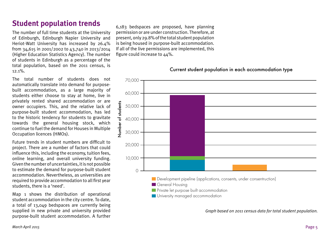## **Student population trends**

The number of full time students at the University of Edinburgh, Edinburgh Napier University and Heriot-Watt University has increased by 26.4% from 34,615 in 2001/2002 to 43,740 in 2013/2014 (Higher Education Statistics Agency). The number of students in Edinburgh as a percentage of the total population, based on the 2011 census, is  $12.1\%$ 

The total number of students does not automatically translate into demand for purposebuilt accommodation, as a large majority of students either choose to stay at home, live in privately rented shared accommodation or are owner occupiers. This, and the relative lack of purpose-built student accommodation, has led to the historic tendency for students to gravitate towards the general housing stock, which continue to fuel the demand for Houses in Multiple Occupation licences (HMOs).

Future trends in student numbers are difficult to project. There are a number of factors that could influence this, including the economy, tuition fees, online learning, and overall university funding. Given the number of uncertainties, it is not possible to estimate the demand for purpose-built student accommodation. Nevertheless, as universities are required to provide accommodation to all first year students, there is a 'need'.

Map 1 shows the distribution of operational student accommodation in the city centre. To date, a total of 13,049 bedspaces are currently being supplied in new private and university provided purpose-built student accommodation. A further 6,183 bedspaces are proposed, have planning permission or are under construction. Therefore, at present, only 29.8% ofthe total student population is being housed in purpose-built accommodation. If all of the live permissions are implemented, this figure could increase to  $44\%$ .

Current student population in each accommodation type



*Graph based on 2011 census data for total student population.*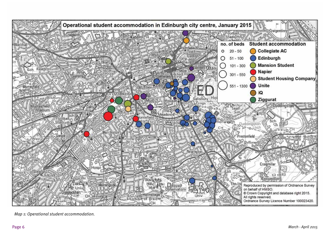

*Map 1: Operational student accommodation.*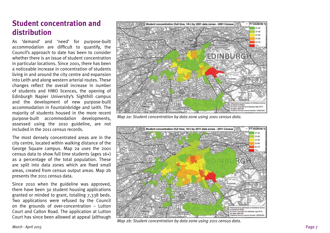## **Student concentration and distribution**

As 'demand' and 'need' for purpose-built accommodation are difficult to quantify, the Council's approach to date has been to consider whether there is an issue of student concentration in particular locations. Since 2001, there has been a noticeable increase in concentration of students living in and around the city centre and expansion into Leith and along western arterial routes. These changes reflect the overall increase in number of students and HMO licences, the opening of Edinburgh Napier University's Sighthill campus and the development of new purpose-built accommodation in Fountainbridge and Leith. The majority of students housed in the more recent purpose-built accommodation developments, assessed using the 2010 guideline, are not included in the 2011 census records.

The most densely concentrated areas are in the city centre, located within walking distance of the George Square campus. Map 2a uses the 2001 census data to show full time students (ages 16+) as a percentage of the total population. These are split into data zones which are fixed small areas, created from census output areas. Map 2b presents the 2011 census data.

Since 2010 when the guideline was approved, there have been 30 student housing applications granted or minded to grant, totalling 7,338 beds. Two applications were refused by the Council on the grounds of over-concentration – Lutton Court and Calton Road. The application at Lutton Court has since been allowed at appeal (although



*Map 2a: Student concentration by data zone using 2001 census data.*



*Map 2b: Student concentration by data zone using 2011 census data.*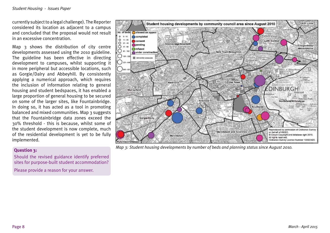currently subject to a legal challenge). The Reporter considered its location as adjacent to a campus and concluded that the proposal would not result in an excessive concentration.

Map 3 shows the distribution of city centre developments assessed using the 2010 guideline. The guideline has been effective in directing development to campuses, whilst supporting it in more peripheral but accessible locations, such as Gorgie/Dalry and Abbeyhill. By consistently applying a numerical approach, which requires the inclusion of information relating to general housing and student bedspaces, it has enabled a large proportion of general housing to be secured on some of the larger sites, like Fountainbridge. In doing so, it has acted as a tool in promoting balanced and mixed communities. Map 3 suggests that the Fountainbridge data zones exceed the 30% threshold - this is because, whilst some of the student development is now complete, much of the residential development is yet to be fully implemented.

#### **Question 3:**

Should the revised guidance identify preferred sites for purpose-built student accommodation?

Please provide a reason for your answer.



*Map 3: Student housing developments by number of beds and planning status since August 2010.*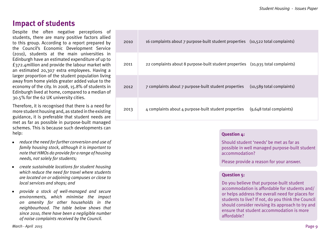## **Impact of students**

Despite the often negative perceptions of students, there are many positive factors allied to this group. According to a report prepared by the Council's Economic Development Service (2010), students at the main universities in Edinburgh have an estimated expenditure of up to £372.4million and provide the labour market with an estimated 20,307 extra employees. Having a larger proportion of the student population living away from home yields greater added value to the economy of the city. In 2008, 15.8% of students in Edinburgh lived at home, compared to a median of 30.5% for the 62 UK university cities.

Therefore, it is recognised that there is a need for more student housing and, as stated in the existing guidance, it is preferable that student needs are met as far as possible in purpose-built managed schemes. This is because such developments can help:

- *reduce the need for further conversion and use of family housing stock, although it is important to note that HMOs do provide for a range of housing needs, not solely for students;*
- *create sustainable locations for student housing which reduce the need for travel where students are located on or adjoining campuses or close to local services and shops; and* •
- *provide a stock of well-managed and secure environments, which minimise the impact on amenity for other households in the neighbourhood. The table below shows that since 2010, there have been a negligible number of noise complaints received by the Council.* •

| 2010 | 16 complaints about 7 purpose-built student properties (10,522 total complaints)           |
|------|--------------------------------------------------------------------------------------------|
| 2011 | 22 complaints about 8 purpose-built student properties (10,935 total complaints)           |
| 2012 | 7 complaints about 7 purpose-built student properties<br>(10,589 total complaints)         |
| 2013 | 4 complaints about 4 purpose-built student properties<br>$(9,648 \text{ total complaint})$ |

#### **Question 4:**

Should student 'needs' be met as far as possible in well managed purpose-built student accommodation?

Please provide a reason for your answer.

#### **Question 5:**

Do you believe that purpose-built student accommodation is affordable for students and/ or helps address the overall need for places for students to live? If not, do you think the Council should consider revising its approach to try and ensure that student accommodation is more affordable?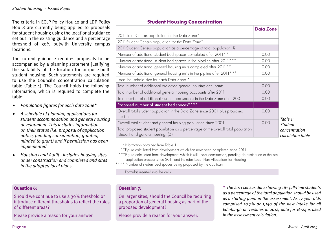The criteria in ECLP Policy Hou 10 and LDP Policy Hou 8 are currently being applied to proposals for student housing using the locational guidance set out in the existing guidance and a percentage threshold of 30% outwith University campus locations.

The current guidance requires proposals to be accompanied by a planning statement justifying the suitability of the location for purpose-built student housing. Such statements are required to use the Council's concentration calculation table (Table 1). The Council holds the following information, which is required to complete the table:

- *Population figures for each data zone\**  •
- *A schedule of planning applications for student accommodation and general housing development. This includes information on their status (i.e. proposal of application notice, pending consideration, granted, minded to grant) and if permission has been implemented.*  •
- *Housing Land Audit includes housing sites under construction and completed and sites in the adopted local plans.* •

### **Question 6:**

Should we continue to use a 30% threshold or introduce different thresholds to reflect the roles of different areas?

Please provide a reason for your answer.

#### **Student Housing Concentration**

|                                                                                                                        | <b>Data Zone</b> |                                    |  |  |
|------------------------------------------------------------------------------------------------------------------------|------------------|------------------------------------|--|--|
| 2011 total Census population for the Data Zone*                                                                        |                  |                                    |  |  |
| 2011 Student Census population for the Data Zone*                                                                      |                  |                                    |  |  |
| 2011 Student Census population as a percentage of total population (%)                                                 |                  |                                    |  |  |
| Number of additional student bed spaces completed after 2011 **                                                        | 0.00             |                                    |  |  |
| Number of additional student bed spaces in the pipeline after 2011 ***                                                 | 0.00             |                                    |  |  |
| Number of additional general housing units completed after 2011 **                                                     | 0.00             |                                    |  |  |
| Number of additional general housing units in the pipline after 2011 ***                                               | 0.00             |                                    |  |  |
| Local household size for each Data Zone *                                                                              |                  |                                    |  |  |
| Total number of additional projected general housing occupants                                                         | 0.00             |                                    |  |  |
| Total number of additional general housing occupants after 2011                                                        | 0.00             |                                    |  |  |
| Total number of additional student bed spaces in the Data Zone after 2001                                              | 0.00             |                                    |  |  |
| Proposed number of student bed spaces****                                                                              |                  |                                    |  |  |
| Overall total student population in the Data Zone since 2001 plus proposed<br>number                                   | 0.00             | Table 1:                           |  |  |
| Overall total student and general housing population since 2001                                                        | 0.00             | <b>Student</b>                     |  |  |
| Total proposed student population as a percentage of the overall total population<br>(student and general housing) (%) |                  | concentration<br>calculation table |  |  |

\*Information obtained from Table 1

\*\*Figure calculated from development which has now been completed since 2011

\*\*\*Figure calculated from development which is still under construction, pending determination or the preapplication process since 2011 and includes Local Plan Allocations for Housing

\*\*\*\* Number of student bed spaces being proposed by the applicant

Formulas inserted into the cells

### **Question 7:**

On larger sites, should the Council be requiring a proportion of general housing as part of the proposed development?

Please provide a reason for your answer.

*\* The 2011 census data showing 16+ full-time students as a percentage of the total population should be used as a starting point in the assessment. As 17 year olds comprised 10.7% or 1,150 of the new intake for all Edinburgh universities in 2012, data for 16-24 is used in the assessment calculation.*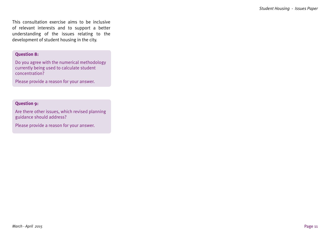This consultation exercise aims to be inclusive of relevant interests and to support a better understanding of the issues relating to the development of student housing in the city.

#### **Question 8:**

Do you agree with the numerical methodology currently being used to calculate student concentration?

Please provide a reason for your answer.

#### **Question 9:**

Are there other issues, which revised planning guidance should address?

Please provide a reason for your answer.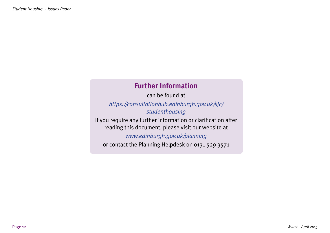## **Further Information**

can be found at

*https://consultationhub.edinburgh.gov.uk/sfc/ studenthousing*

If you require any further information or clarification after reading this document, please visit our website at

*www.edinburgh.gov.uk/planning* 

or contact the Planning Helpdesk on 0131 529 3571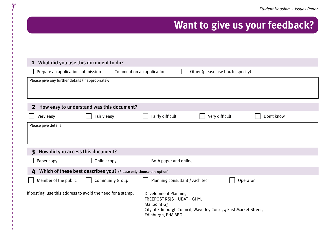## **Want to give us your feedback?**

| What did you use this document to do?<br>$\mathbf{1}$                                               |                        |                                                                                                                                                                             |  |  |  |  |
|-----------------------------------------------------------------------------------------------------|------------------------|-----------------------------------------------------------------------------------------------------------------------------------------------------------------------------|--|--|--|--|
| Comment on an application<br>Other (please use box to specify)<br>Prepare an application submission |                        |                                                                                                                                                                             |  |  |  |  |
| Please give any further details (if appropriate):                                                   |                        |                                                                                                                                                                             |  |  |  |  |
| How easy to understand was this document?<br>$\mathbf{2}$                                           |                        |                                                                                                                                                                             |  |  |  |  |
| Very easy                                                                                           | Fairly easy            | Fairly difficult<br>Very difficult<br>Don't know                                                                                                                            |  |  |  |  |
| Please give details:                                                                                |                        |                                                                                                                                                                             |  |  |  |  |
| How did you access this document?<br>$\mathbf{3}$                                                   |                        |                                                                                                                                                                             |  |  |  |  |
| Paper copy                                                                                          | Online copy            | Both paper and online                                                                                                                                                       |  |  |  |  |
| Which of these best describes you? (Please only choose one option)<br>4                             |                        |                                                                                                                                                                             |  |  |  |  |
| Member of the public                                                                                | <b>Community Group</b> | Planning consultant / Architect<br>Operator                                                                                                                                 |  |  |  |  |
| If posting, use this address to avoid the need for a stamp:                                         |                        | <b>Development Planning</b><br>FREEPOST RSJS - UBAT - GHYL<br><b>Mailpoint G3</b><br>City of Edinburgh Council, Waverley Court, 4 East Market Street,<br>Edinburgh, EH8 8BG |  |  |  |  |

 $\gamma$